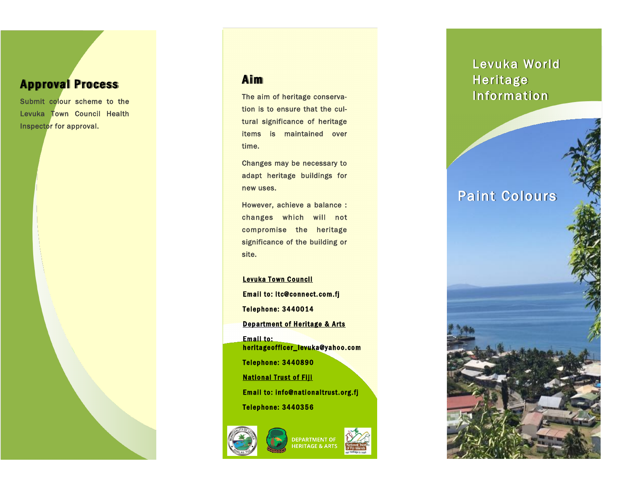## **Approval Process**

Submit colour scheme to the Levuka Town Council Health Inspector for approval.

### **Aim**

The aim of heritage conservation is to ensure that the cultural significance of heritage items is maintained over time.

Changes may be necessary to adapt heritage buildings for new uses.

However, achieve a balance : changes which will not compromise the heritage significance of the building or site.

Levuka Town Council **Email to: ltc@connect.com.fj** Telephone: 3440014 Department of Heritage & Arts Email to: heritage officer\_levuka@yahoo.com Telephone: 3440890 **National Trust of Fiji** Email to: info@nationaltrust.org.fj

Telephone: 3440356





# Levuka World Heritage Information

## Paint Colours